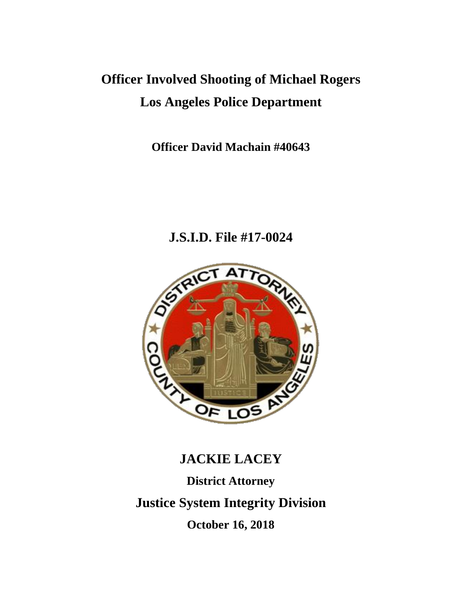# **Officer Involved Shooting of Michael Rogers Los Angeles Police Department**

**Officer David Machain #40643**

**J.S.I.D. File #17-0024**



# **JACKIE LACEY**

**District Attorney Justice System Integrity Division October 16, 2018**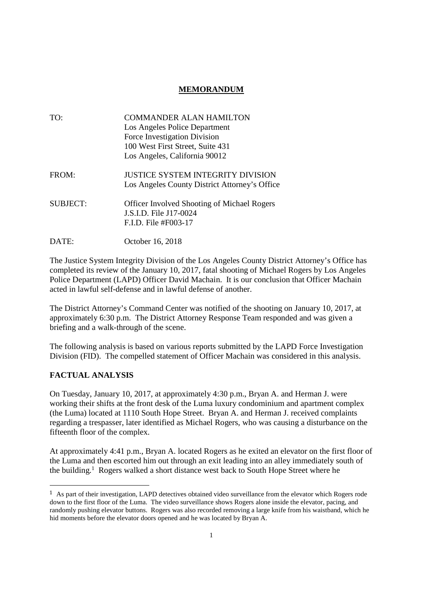### **MEMORANDUM**

| TO:             | COMMANDER ALAN HAMILTON<br>Los Angeles Police Department<br>Force Investigation Division<br>100 West First Street, Suite 431<br>Los Angeles, California 90012 |
|-----------------|---------------------------------------------------------------------------------------------------------------------------------------------------------------|
| FROM:           | <b>JUSTICE SYSTEM INTEGRITY DIVISION</b><br>Los Angeles County District Attorney's Office                                                                     |
| <b>SUBJECT:</b> | <b>Officer Involved Shooting of Michael Rogers</b><br>J.S.I.D. File J17-0024<br>F.I.D. File #F003-17                                                          |

DATE: October 16, 2018

The Justice System Integrity Division of the Los Angeles County District Attorney's Office has completed its review of the January 10, 2017, fatal shooting of Michael Rogers by Los Angeles Police Department (LAPD) Officer David Machain. It is our conclusion that Officer Machain acted in lawful self-defense and in lawful defense of another.

The District Attorney's Command Center was notified of the shooting on January 10, 2017, at approximately 6:30 p.m. The District Attorney Response Team responded and was given a briefing and a walk-through of the scene.

The following analysis is based on various reports submitted by the LAPD Force Investigation Division (FID). The compelled statement of Officer Machain was considered in this analysis.

#### **FACTUAL ANALYSIS**

On Tuesday, January 10, 2017, at approximately 4:30 p.m., Bryan A. and Herman J. were working their shifts at the front desk of the Luma luxury condominium and apartment complex (the Luma) located at 1110 South Hope Street. Bryan A. and Herman J. received complaints regarding a trespasser, later identified as Michael Rogers, who was causing a disturbance on the fifteenth floor of the complex.

At approximately 4:41 p.m., Bryan A. located Rogers as he exited an elevator on the first floor of the Luma and then escorted him out through an exit leading into an alley immediately south of the building.<sup>1</sup> Rogers walked a short distance west back to South Hope Street where he

<sup>1</sup> As part of their investigation, LAPD detectives obtained video surveillance from the elevator which Rogers rode down to the first floor of the Luma. The video surveillance shows Rogers alone inside the elevator, pacing, and randomly pushing elevator buttons. Rogers was also recorded removing a large knife from his waistband, which he hid moments before the elevator doors opened and he was located by Bryan A.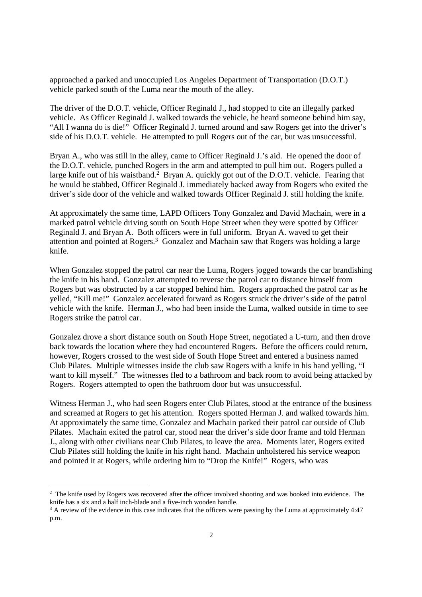approached a parked and unoccupied Los Angeles Department of Transportation (D.O.T.) vehicle parked south of the Luma near the mouth of the alley.

The driver of the D.O.T. vehicle, Officer Reginald J., had stopped to cite an illegally parked vehicle. As Officer Reginald J. walked towards the vehicle, he heard someone behind him say, "All I wanna do is die!" Officer Reginald J. turned around and saw Rogers get into the driver's side of his D.O.T. vehicle. He attempted to pull Rogers out of the car, but was unsuccessful.

Bryan A., who was still in the alley, came to Officer Reginald J.'s aid. He opened the door of the D.O.T. vehicle, punched Rogers in the arm and attempted to pull him out. Rogers pulled a large knife out of his waistband.<sup>2</sup> Bryan A. quickly got out of the D.O.T. vehicle. Fearing that he would be stabbed, Officer Reginald J. immediately backed away from Rogers who exited the driver's side door of the vehicle and walked towards Officer Reginald J. still holding the knife.

At approximately the same time, LAPD Officers Tony Gonzalez and David Machain, were in a marked patrol vehicle driving south on South Hope Street when they were spotted by Officer Reginald J. and Bryan A. Both officers were in full uniform. Bryan A. waved to get their attention and pointed at Rogers.<sup>3</sup> Gonzalez and Machain saw that Rogers was holding a large knife.

When Gonzalez stopped the patrol car near the Luma, Rogers jogged towards the car brandishing the knife in his hand. Gonzalez attempted to reverse the patrol car to distance himself from Rogers but was obstructed by a car stopped behind him. Rogers approached the patrol car as he yelled, "Kill me!" Gonzalez accelerated forward as Rogers struck the driver's side of the patrol vehicle with the knife. Herman J., who had been inside the Luma, walked outside in time to see Rogers strike the patrol car.

Gonzalez drove a short distance south on South Hope Street, negotiated a U-turn, and then drove back towards the location where they had encountered Rogers. Before the officers could return, however, Rogers crossed to the west side of South Hope Street and entered a business named Club Pilates. Multiple witnesses inside the club saw Rogers with a knife in his hand yelling, "I want to kill myself." The witnesses fled to a bathroom and back room to avoid being attacked by Rogers. Rogers attempted to open the bathroom door but was unsuccessful.

Witness Herman J., who had seen Rogers enter Club Pilates, stood at the entrance of the business and screamed at Rogers to get his attention. Rogers spotted Herman J. and walked towards him. At approximately the same time, Gonzalez and Machain parked their patrol car outside of Club Pilates. Machain exited the patrol car, stood near the driver's side door frame and told Herman J., along with other civilians near Club Pilates, to leave the area. Moments later, Rogers exited Club Pilates still holding the knife in his right hand. Machain unholstered his service weapon and pointed it at Rogers, while ordering him to "Drop the Knife!" Rogers, who was

<sup>&</sup>lt;sup>2</sup> The knife used by Rogers was recovered after the officer involved shooting and was booked into evidence. The knife has a six and a half inch-blade and a five-inch wooden handle.

<sup>&</sup>lt;sup>3</sup> A review of the evidence in this case indicates that the officers were passing by the Luma at approximately 4:47 p.m.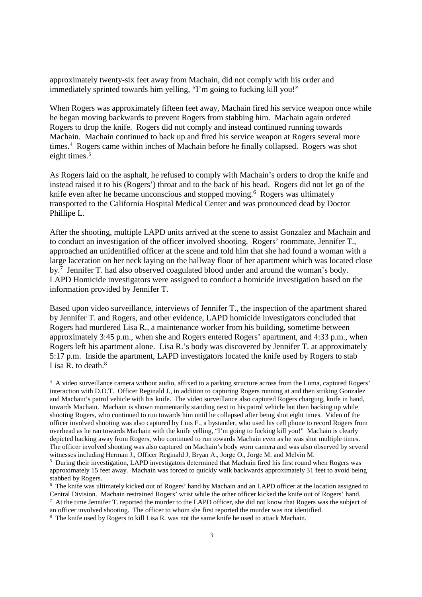approximately twenty-six feet away from Machain, did not comply with his order and immediately sprinted towards him yelling, "I'm going to fucking kill you!"

When Rogers was approximately fifteen feet away, Machain fired his service weapon once while he began moving backwards to prevent Rogers from stabbing him. Machain again ordered Rogers to drop the knife. Rogers did not comply and instead continued running towards Machain. Machain continued to back up and fired his service weapon at Rogers several more times.<sup>4</sup> Rogers came within inches of Machain before he finally collapsed. Rogers was shot eight times.<sup>5</sup>

As Rogers laid on the asphalt, he refused to comply with Machain's orders to drop the knife and instead raised it to his (Rogers') throat and to the back of his head. Rogers did not let go of the knife even after he became unconscious and stopped moving.<sup>6</sup> Rogers was ultimately transported to the California Hospital Medical Center and was pronounced dead by Doctor Phillipe L.

After the shooting, multiple LAPD units arrived at the scene to assist Gonzalez and Machain and to conduct an investigation of the officer involved shooting. Rogers' roommate, Jennifer T., approached an unidentified officer at the scene and told him that she had found a woman with a large laceration on her neck laying on the hallway floor of her apartment which was located close by.<sup>7</sup> Jennifer T. had also observed coagulated blood under and around the woman's body. LAPD Homicide investigators were assigned to conduct a homicide investigation based on the information provided by Jennifer T.

Based upon video surveillance, interviews of Jennifer T., the inspection of the apartment shared by Jennifer T. and Rogers, and other evidence, LAPD homicide investigators concluded that Rogers had murdered Lisa R., a maintenance worker from his building, sometime between approximately 3:45 p.m., when she and Rogers entered Rogers' apartment, and 4:33 p.m., when Rogers left his apartment alone. Lisa R.'s body was discovered by Jennifer T. at approximately 5:17 p.m. Inside the apartment, LAPD investigators located the knife used by Rogers to stab Lisa R. to death. $8$ 

<sup>4</sup> A video surveillance camera without audio, affixed to a parking structure across from the Luma, captured Rogers' interaction with D.O.T. Officer Reginald J., in addition to capturing Rogers running at and then striking Gonzalez and Machain's patrol vehicle with his knife. The video surveillance also captured Rogers charging, knife in hand, towards Machain. Machain is shown momentarily standing next to his patrol vehicle but then backing up while shooting Rogers, who continued to run towards him until he collapsed after being shot eight times. Video of the officer involved shooting was also captured by Luis F., a bystander, who used his cell phone to record Rogers from overhead as he ran towards Machain with the knife yelling, "I'm going to fucking kill you!" Machain is clearly depicted backing away from Rogers, who continued to run towards Machain even as he was shot multiple times. The officer involved shooting was also captured on Machain's body worn camera and was also observed by several witnesses including Herman J., Officer Reginald J, Bryan A., Jorge O., Jorge M. and Melvin M.

<sup>&</sup>lt;sup>5</sup> During their investigation, LAPD investigators determined that Machain fired his first round when Rogers was approximately 15 feet away. Machain was forced to quickly walk backwards approximately 31 feet to avoid being stabbed by Rogers.

<sup>&</sup>lt;sup>6</sup> The knife was ultimately kicked out of Rogers' hand by Machain and an LAPD officer at the location assigned to Central Division. Machain restrained Rogers' wrist while the other officer kicked the knife out of Rogers' hand.

<sup>&</sup>lt;sup>7</sup> At the time Jennifer T. reported the murder to the LAPD officer, she did not know that Rogers was the subject of an officer involved shooting. The officer to whom she first reported the murder was not identified.

<sup>8</sup> The knife used by Rogers to kill Lisa R. was not the same knife he used to attack Machain.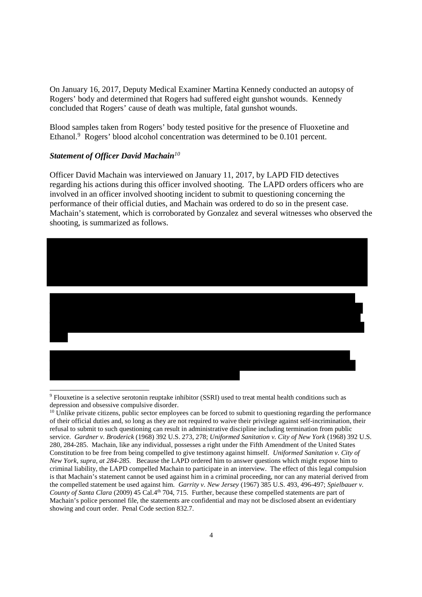On January 16, 2017, Deputy Medical Examiner Martina Kennedy conducted an autopsy of Rogers' body and determined that Rogers had suffered eight gunshot wounds. Kennedy concluded that Rogers' cause of death was multiple, fatal gunshot wounds.

Blood samples taken from Rogers' body tested positive for the presence of Fluoxetine and Ethanol.<sup>9</sup> Rogers' blood alcohol concentration was determined to be 0.101 percent.

# *Statement of Officer David Machain<sup>10</sup>*

Officer David Machain was interviewed on January 11, 2017, by LAPD FID detectives regarding his actions during this officer involved shooting. The LAPD orders officers who are involved in an officer involved shooting incident to submit to questioning concerning the performance of their official duties, and Machain was ordered to do so in the present case. Machain's statement, which is corroborated by Gonzalez and several witnesses who observed the shooting, is summarized as follows.



<sup>9</sup> Flouxetine is a selective serotonin reuptake inhibitor (SSRI) used to treat mental health conditions such as depression and obsessive compulsive disorder.

 $10$  Unlike private citizens, public sector employees can be forced to submit to questioning regarding the performance of their official duties and, so long as they are not required to waive their privilege against self-incrimination, their refusal to submit to such questioning can result in administrative discipline including termination from public service. *Gardner v. Broderick* (1968) 392 U.S. 273, 278; *Uniformed Sanitation v. City of New York* (1968) 392 U.S. 280, 284-285. Machain, like any individual, possesses a right under the Fifth Amendment of the United States Constitution to be free from being compelled to give testimony against himself. *Uniformed Sanitation v. City of New York, supra, at 284-285.* Because the LAPD ordered him to answer questions which might expose him to criminal liability, the LAPD compelled Machain to participate in an interview. The effect of this legal compulsion is that Machain's statement cannot be used against him in a criminal proceeding, nor can any material derived from the compelled statement be used against him. *Garrity v. New Jersey* (1967) 385 U.S. 493, 496-497; *Spielbauer v. County of Santa Clara* (2009) 45 Cal.4<sup>th</sup> 704, 715. Further, because these compelled statements are part of Machain's police personnel file, the statements are confidential and may not be disclosed absent an evidentiary showing and court order. Penal Code section 832.7.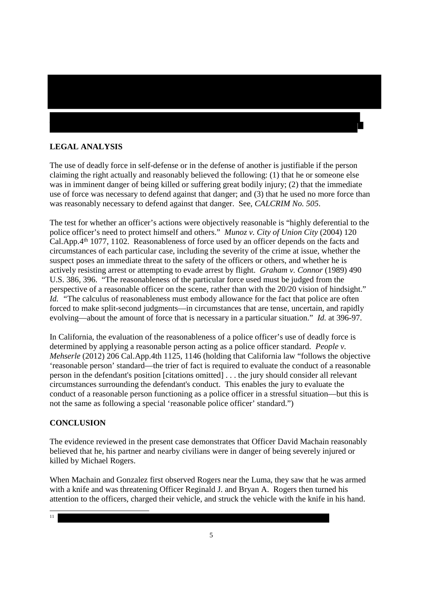# **LEGAL ANALYSIS**

The use of deadly force in self-defense or in the defense of another is justifiable if the person claiming the right actually and reasonably believed the following: (1) that he or someone else was in imminent danger of being killed or suffering great bodily injury; (2) that the immediate use of force was necessary to defend against that danger; and (3) that he used no more force than was reasonably necessary to defend against that danger. See, *CALCRIM No. 505*.

The test for whether an officer's actions were objectively reasonable is "highly deferential to the police officer's need to protect himself and others." *Munoz v. City of Union City* (2004) 120 Cal.App.4th 1077, 1102. Reasonableness of force used by an officer depends on the facts and circumstances of each particular case, including the severity of the crime at issue, whether the suspect poses an immediate threat to the safety of the officers or others, and whether he is actively resisting arrest or attempting to evade arrest by flight. *Graham v. Connor* (1989) 490 U.S. 386, 396. "The reasonableness of the particular force used must be judged from the perspective of a reasonable officer on the scene, rather than with the 20/20 vision of hindsight." *Id.* "The calculus of reasonableness must embody allowance for the fact that police are often forced to make split-second judgments—in circumstances that are tense, uncertain, and rapidly evolving—about the amount of force that is necessary in a particular situation." *Id.* at 396-97.

In California, the evaluation of the reasonableness of a police officer's use of deadly force is determined by applying a reasonable person acting as a police officer standard. *People v. Mehserle* (2012) 206 Cal.App.4th 1125, 1146 (holding that California law "follows the objective 'reasonable person' standard—the trier of fact is required to evaluate the conduct of a reasonable person in the defendant's position [citations omitted] . . . the jury should consider all relevant circumstances surrounding the defendant's conduct. This enables the jury to evaluate the conduct of a reasonable person functioning as a police officer in a stressful situation—but this is not the same as following a special 'reasonable police officer' standard.")

## **CONCLUSION**

The evidence reviewed in the present case demonstrates that Officer David Machain reasonably believed that he, his partner and nearby civilians were in danger of being severely injured or killed by Michael Rogers.

When Machain and Gonzalez first observed Rogers near the Luma, they saw that he was armed with a knife and was threatening Officer Reginald J. and Bryan A. Rogers then turned his attention to the officers, charged their vehicle, and struck the vehicle with the knife in his hand.

11